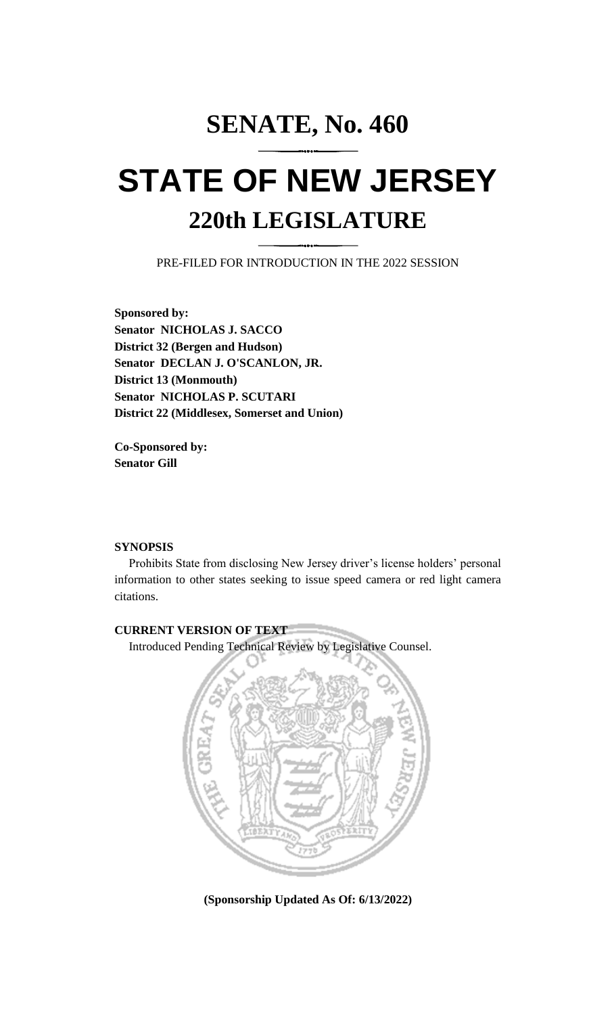## **SENATE, No. 460 STATE OF NEW JERSEY 220th LEGISLATURE**

PRE-FILED FOR INTRODUCTION IN THE 2022 SESSION

**Sponsored by: Senator NICHOLAS J. SACCO District 32 (Bergen and Hudson) Senator DECLAN J. O'SCANLON, JR. District 13 (Monmouth) Senator NICHOLAS P. SCUTARI District 22 (Middlesex, Somerset and Union)**

**Co-Sponsored by: Senator Gill**

## **SYNOPSIS**

Prohibits State from disclosing New Jersey driver's license holders' personal information to other states seeking to issue speed camera or red light camera citations.

## **CURRENT VERSION OF TEXT**

Introduced Pending Technical Review by Legislative Counsel.



**(Sponsorship Updated As Of: 6/13/2022)**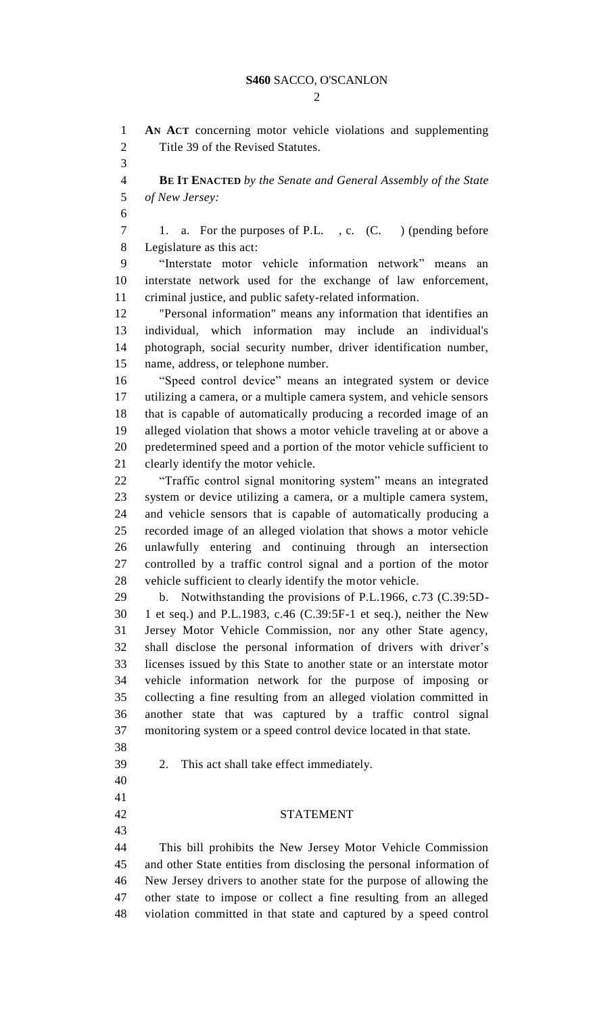$\mathcal{D}$ 

 **AN ACT** concerning motor vehicle violations and supplementing Title 39 of the Revised Statutes.

 **BE IT ENACTED** *by the Senate and General Assembly of the State of New Jersey:*

 1. a. For the purposes of P.L. , c. (C. ) (pending before Legislature as this act:

 "Interstate motor vehicle information network" means an interstate network used for the exchange of law enforcement, criminal justice, and public safety-related information.

 "Personal information" means any information that identifies an individual, which information may include an individual's photograph, social security number, driver identification number, name, address, or telephone number.

 "Speed control device" means an integrated system or device utilizing a camera, or a multiple camera system, and vehicle sensors that is capable of automatically producing a recorded image of an alleged violation that shows a motor vehicle traveling at or above a predetermined speed and a portion of the motor vehicle sufficient to clearly identify the motor vehicle.

 "Traffic control signal monitoring system" means an integrated system or device utilizing a camera, or a multiple camera system, and vehicle sensors that is capable of automatically producing a recorded image of an alleged violation that shows a motor vehicle unlawfully entering and continuing through an intersection controlled by a traffic control signal and a portion of the motor vehicle sufficient to clearly identify the motor vehicle.

 b. Notwithstanding the provisions of P.L.1966, c.73 (C.39:5D- 1 et seq.) and P.L.1983, c.46 (C.39:5F-1 et seq.), neither the New Jersey Motor Vehicle Commission, nor any other State agency, shall disclose the personal information of drivers with driver's licenses issued by this State to another state or an interstate motor vehicle information network for the purpose of imposing or collecting a fine resulting from an alleged violation committed in another state that was captured by a traffic control signal monitoring system or a speed control device located in that state.

2. This act shall take effect immediately.

 

## STATEMENT

 This bill prohibits the New Jersey Motor Vehicle Commission and other State entities from disclosing the personal information of New Jersey drivers to another state for the purpose of allowing the other state to impose or collect a fine resulting from an alleged violation committed in that state and captured by a speed control